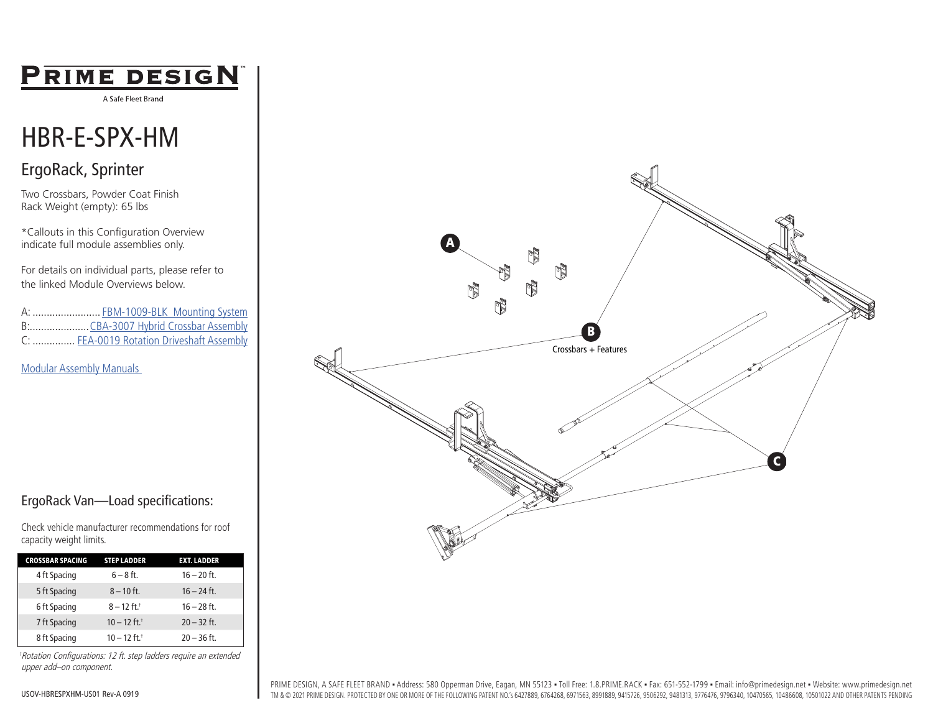## **PRIME DESIGN**

A Safe Fleet Brand

# HBR-E-SPX-HM

### ErgoRack, Sprinter

Two Crossbars, Powder Coat Finish Rack Weight (empty): 65 lbs

\*Callouts in this Configuration Overview indicate full module assemblies only.

For details on individual parts, please refer to the linked Module Overviews below.

A: ........................ [FBM-1009-BLK Mounting System](https://www.primedesign.net/?wpdmdl=13940) B:.....................[CBA-3007 Hybrid Crossbar](https://www.primedesign.net/?wpdmdl=13478) Assembly C: ............... FEA-001[9 Rotation Driveshaft Assembly](https://www.primedesign.net/?wpdmdl=7155)

[Modular Assembly Manuals](https://www.primedesign.net/document-library/#modular-assembly-manuals-tab) 

#### ErgoRack Van—Load specifications:

Check vehicle manufacturer recommendations for roof capacity weight limits.

| <b>CROSSBAR SPACING</b> | <b>STEP LADDER</b>         | <b>EXT. LADDER</b> |  |
|-------------------------|----------------------------|--------------------|--|
| 4 ft Spacing            | $6 - 8$ ft.                | $16 - 20$ ft.      |  |
| 5 ft Spacing            | $8 - 10$ ft.               | $16 - 24$ ft.      |  |
| 6 ft Spacing            | $8 - 12$ ft. <sup>+</sup>  | $16 - 28$ ft.      |  |
| 7 ft Spacing            | $10 - 12$ ft. <sup>†</sup> | $20 - 32$ ft.      |  |
| 8 ft Spacing            | $10 - 12$ ft. <sup>+</sup> | $20 - 36$ ft.      |  |

†Rotation Configurations: 12 ft. step ladders require an extended upper add–on component.



PRIME DESIGN, A SAFE FLEET BRAND • Address: 580 Opperman Drive, Eagan, MN 55123 • Toll Free: 1.8.PRIME.RACK • Fax: 651-552-1799 • Email: info@primedesign.net • Website: www.primedesign.net